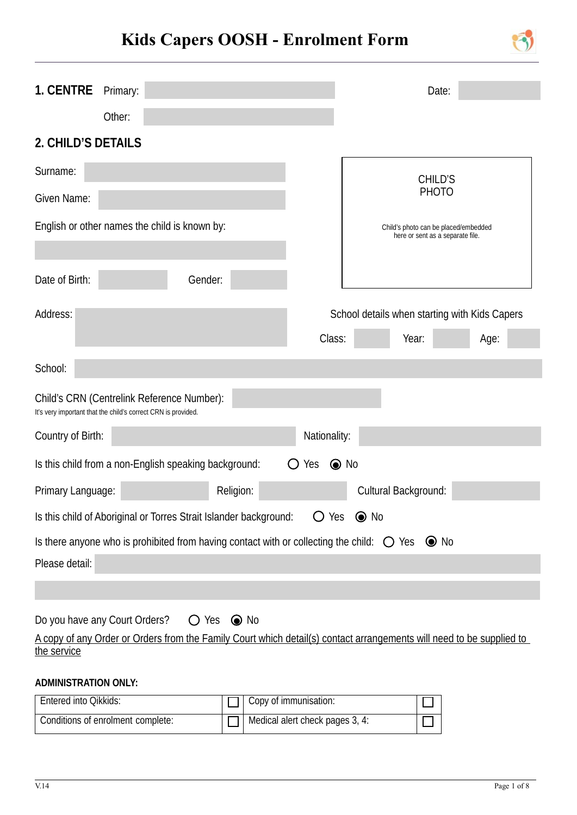# **Kids Capers OOSH - Enrolment Form**



| Other:<br>$\blacktriangledown$<br>2. CHILD'S DETAILS<br><b>CHILD'S</b><br><b>PHOTO</b><br>English or other names the child is known by:<br>Child's photo can be placed/embedded<br>here or sent as a separate file.<br>Gender:<br>School details when starting with Kids Capers<br>Class:<br>Year:<br>Age:<br>Child's CRN (Centrelink Reference Number):<br>It's very important that the child's correct CRN is provided.<br>Country of Birth:<br>Nationality:<br>$\odot$ No<br>Is this child from a non-English speaking background:<br>$\bigcirc$ Yes<br>Cultural Background:<br>Religion:<br>Primary Language:<br>Is this child of Aboriginal or Torres Strait Islander background:<br>$O$ Yes $\odot$ No<br>Is there anyone who is prohibited from having contact with or collecting the child: $\bigcirc$ Yes $\bigcirc$ No | <b>1. CENTRE</b> | Primary: |  | Date: |  |
|----------------------------------------------------------------------------------------------------------------------------------------------------------------------------------------------------------------------------------------------------------------------------------------------------------------------------------------------------------------------------------------------------------------------------------------------------------------------------------------------------------------------------------------------------------------------------------------------------------------------------------------------------------------------------------------------------------------------------------------------------------------------------------------------------------------------------------|------------------|----------|--|-------|--|
|                                                                                                                                                                                                                                                                                                                                                                                                                                                                                                                                                                                                                                                                                                                                                                                                                                  |                  |          |  |       |  |
|                                                                                                                                                                                                                                                                                                                                                                                                                                                                                                                                                                                                                                                                                                                                                                                                                                  |                  |          |  |       |  |
|                                                                                                                                                                                                                                                                                                                                                                                                                                                                                                                                                                                                                                                                                                                                                                                                                                  | Surname:         |          |  |       |  |
|                                                                                                                                                                                                                                                                                                                                                                                                                                                                                                                                                                                                                                                                                                                                                                                                                                  | Given Name:      |          |  |       |  |
|                                                                                                                                                                                                                                                                                                                                                                                                                                                                                                                                                                                                                                                                                                                                                                                                                                  |                  |          |  |       |  |
|                                                                                                                                                                                                                                                                                                                                                                                                                                                                                                                                                                                                                                                                                                                                                                                                                                  | Date of Birth:   |          |  |       |  |
|                                                                                                                                                                                                                                                                                                                                                                                                                                                                                                                                                                                                                                                                                                                                                                                                                                  | Address:         |          |  |       |  |
|                                                                                                                                                                                                                                                                                                                                                                                                                                                                                                                                                                                                                                                                                                                                                                                                                                  |                  |          |  |       |  |
|                                                                                                                                                                                                                                                                                                                                                                                                                                                                                                                                                                                                                                                                                                                                                                                                                                  | School:          |          |  |       |  |
|                                                                                                                                                                                                                                                                                                                                                                                                                                                                                                                                                                                                                                                                                                                                                                                                                                  |                  |          |  |       |  |
|                                                                                                                                                                                                                                                                                                                                                                                                                                                                                                                                                                                                                                                                                                                                                                                                                                  |                  |          |  |       |  |
|                                                                                                                                                                                                                                                                                                                                                                                                                                                                                                                                                                                                                                                                                                                                                                                                                                  |                  |          |  |       |  |
|                                                                                                                                                                                                                                                                                                                                                                                                                                                                                                                                                                                                                                                                                                                                                                                                                                  |                  |          |  |       |  |
|                                                                                                                                                                                                                                                                                                                                                                                                                                                                                                                                                                                                                                                                                                                                                                                                                                  |                  |          |  |       |  |
|                                                                                                                                                                                                                                                                                                                                                                                                                                                                                                                                                                                                                                                                                                                                                                                                                                  |                  |          |  |       |  |
|                                                                                                                                                                                                                                                                                                                                                                                                                                                                                                                                                                                                                                                                                                                                                                                                                                  | Please detail:   |          |  |       |  |
|                                                                                                                                                                                                                                                                                                                                                                                                                                                                                                                                                                                                                                                                                                                                                                                                                                  |                  |          |  |       |  |

Do you have any Court Orders?  $\bigcirc$  Yes  $\bigcirc$  No

A copy of any Order or Orders from the Family Court which detail(s) contact arrangements will need to be supplied to the service

#### **ADMINISTRATION ONLY:**

| Entered into Qikkids:             | Copy of immunisation:           |  |
|-----------------------------------|---------------------------------|--|
| Conditions of enrolment complete: | Medical alert check pages 3, 4: |  |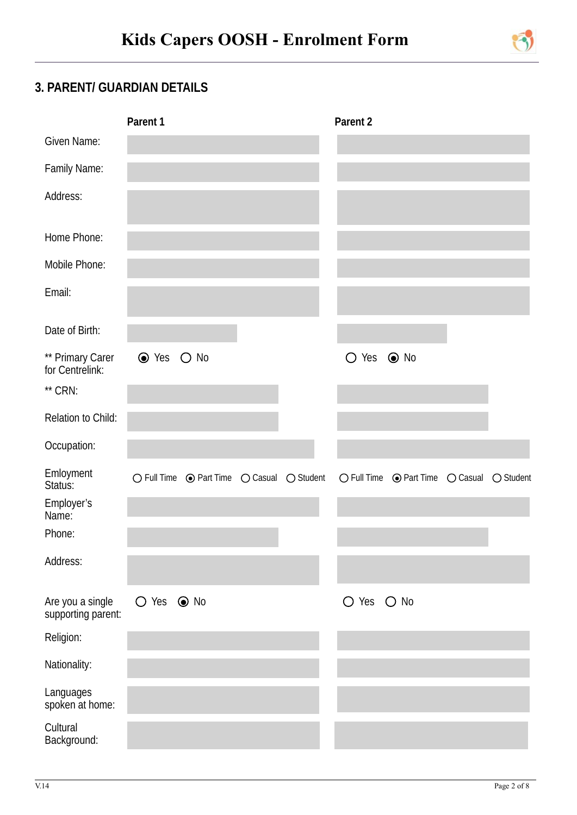

# **3. PARENT/ GUARDIAN DETAILS**

|                                        | Parent 1   |                                                                                |  | Parent 2       |                                                             |                    |
|----------------------------------------|------------|--------------------------------------------------------------------------------|--|----------------|-------------------------------------------------------------|--------------------|
| Given Name:                            |            |                                                                                |  |                |                                                             |                    |
| Family Name:                           |            |                                                                                |  |                |                                                             |                    |
| Address:                               |            |                                                                                |  |                |                                                             |                    |
| Home Phone:                            |            |                                                                                |  |                |                                                             |                    |
| Mobile Phone:                          |            |                                                                                |  |                |                                                             |                    |
| Email:                                 |            |                                                                                |  |                |                                                             |                    |
| Date of Birth:                         |            |                                                                                |  |                |                                                             |                    |
| ** Primary Carer<br>for Centrelink:    | ⊙ Yes ○ No |                                                                                |  | $\bigcirc$ Yes | $\odot$ No                                                  |                    |
| ** CRN:                                |            |                                                                                |  |                |                                                             |                    |
| Relation to Child:                     |            |                                                                                |  |                |                                                             |                    |
| Occupation:                            |            |                                                                                |  |                |                                                             |                    |
| Emloyment<br>Status:                   |            | $\bigcirc$ Full Time $\bigcirc$ Part Time $\bigcirc$ Casual $\bigcirc$ Student |  |                | $\bigcirc$ Full Time $\bigcirc$ Part Time $\bigcirc$ Casual | $\bigcirc$ Student |
| Employer's<br>Name:                    |            |                                                                                |  |                |                                                             |                    |
| Phone:                                 |            |                                                                                |  |                |                                                             |                    |
| Address:                               |            |                                                                                |  |                |                                                             |                    |
| Are you a single<br>supporting parent: | ○ Yes ● No |                                                                                |  | O Yes O No     |                                                             |                    |
| Religion:                              |            |                                                                                |  |                |                                                             |                    |
| Nationality:                           |            |                                                                                |  |                |                                                             |                    |
| Languages<br>spoken at home:           |            |                                                                                |  |                |                                                             |                    |
| Cultural<br>Background:                |            |                                                                                |  |                |                                                             |                    |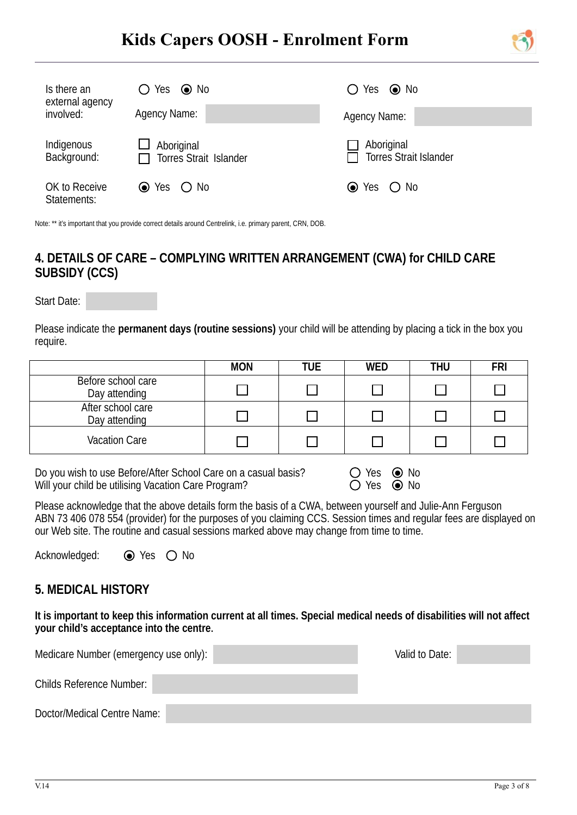# **Kids Capers OOSH - Enrolment Form**



| Is there an<br>external agency<br>involved: | $\bigcirc$ Yes $\bigcirc$ No         | $\bigcirc$ Yes $\bigcirc$ No                |  |  |
|---------------------------------------------|--------------------------------------|---------------------------------------------|--|--|
|                                             | Agency Name:                         | Agency Name:                                |  |  |
| Indigenous<br>Background:                   | Aboriginal<br>Torres Strait Islander | Aboriginal<br><b>Torres Strait Islander</b> |  |  |
| OK to Receive<br>Statements:                | $\odot$ Yes<br>$\bigcirc$ No         | $\odot$ Yes $\odot$ No                      |  |  |

Note: \*\* it's important that you provide correct details around Centrelink, i.e. primary parent, CRN, DOB.

## **4. DETAILS OF CARE – COMPLYING WRITTEN ARRANGEMENT (CWA) for CHILD CARE SUBSIDY (CCS)**

Start Date:

 $\overline{a}$ 

Please indicate the **permanent days (routine sessions)** your child will be attending by placing a tick in the box you require.

|                                     | <b>MON</b> | <b>TUE</b> | <b>WED</b> | THU | <b>FRI</b> |
|-------------------------------------|------------|------------|------------|-----|------------|
| Before school care<br>Day attending |            |            |            |     |            |
| After school care<br>Day attending  |            |            |            |     |            |
| <b>Vacation Care</b>                |            |            |            |     |            |

Do you wish to use Before/After School Care on a casual basis? Will your child be utilising Vacation Care Program?

| Yes |         | $\odot$ No |
|-----|---------|------------|
| Yes | $\odot$ | No         |

Please acknowledge that the above details form the basis of a CWA, between yourself and Julie-Ann Ferguson ABN 73 406 078 554 (provider) for the purposes of you claiming CCS. Session times and regular fees are displayed on our Web site. The routine and casual sessions marked above may change from time to time.

Acknowledged:  $\odot$  Yes  $\odot$  No

#### **5. MEDICAL HISTORY**

**It is important to keep this information current at all times. Special medical needs of disabilities will not affect your child's acceptance into the centre.**

| Medicare Number (emergency use only): | Valid to Date: |  |
|---------------------------------------|----------------|--|
| <b>Childs Reference Number:</b>       |                |  |
| Doctor/Medical Centre Name:           |                |  |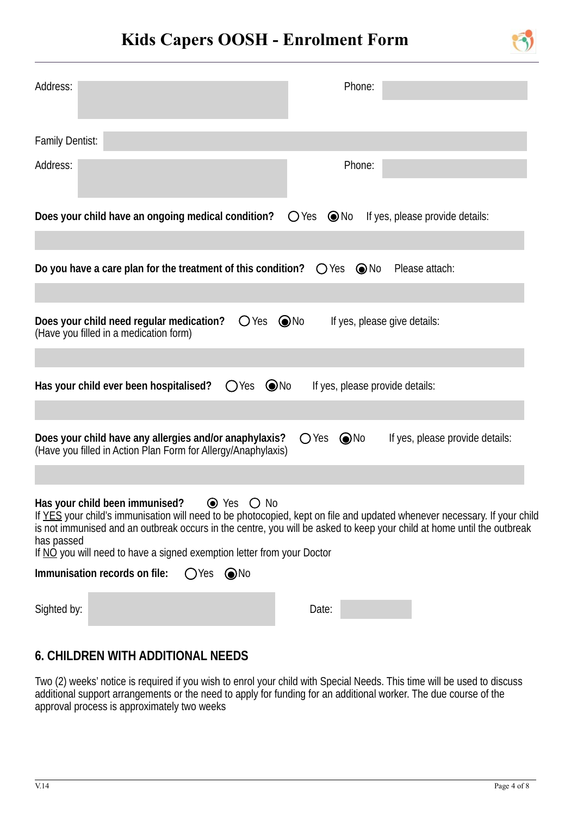

| Address:                                                                                                                                               | Phone:                                                                                                                                                                                                                                             |
|--------------------------------------------------------------------------------------------------------------------------------------------------------|----------------------------------------------------------------------------------------------------------------------------------------------------------------------------------------------------------------------------------------------------|
| <b>Family Dentist:</b>                                                                                                                                 |                                                                                                                                                                                                                                                    |
| Address:                                                                                                                                               | Phone:                                                                                                                                                                                                                                             |
| Does your child have an ongoing medical condition?                                                                                                     | $O$ Yes<br>$\odot$ No<br>If yes, please provide details:                                                                                                                                                                                           |
| Do you have a care plan for the treatment of this condition? $\bigcirc$ Yes $\bigcirc$ No                                                              | Please attach:                                                                                                                                                                                                                                     |
| $O$ Yes $\odot$ No<br>Does your child need regular medication?<br>(Have you filled in a medication form)                                               | If yes, please give details:                                                                                                                                                                                                                       |
| $\odot$ No<br>Has your child ever been hospitalised?<br>$O$ Yes                                                                                        | If yes, please provide details:                                                                                                                                                                                                                    |
| Does your child have any allergies and/or anaphylaxis?<br>(Have you filled in Action Plan Form for Allergy/Anaphylaxis)                                | $\odot$ No<br>$\bigcirc$ Yes<br>If yes, please provide details:                                                                                                                                                                                    |
| Has your child been immunised? $\bullet$ Yes $\circledcirc$ No<br>has passed<br>If NO you will need to have a signed exemption letter from your Doctor | If YES your child's immunisation will need to be photocopied, kept on file and updated whenever necessary. If your child<br>is not immunised and an outbreak occurs in the centre, you will be asked to keep your child at home until the outbreak |
| Immunisation records on file:<br>$OYes$ $\odot$ No                                                                                                     |                                                                                                                                                                                                                                                    |
| Sighted by:                                                                                                                                            | Date:                                                                                                                                                                                                                                              |

# **6. CHILDREN WITH ADDITIONAL NEEDS**

Two (2) weeks' notice is required if you wish to enrol your child with Special Needs. This time will be used to discuss additional support arrangements or the need to apply for funding for an additional worker. The due course of the approval process is approximately two weeks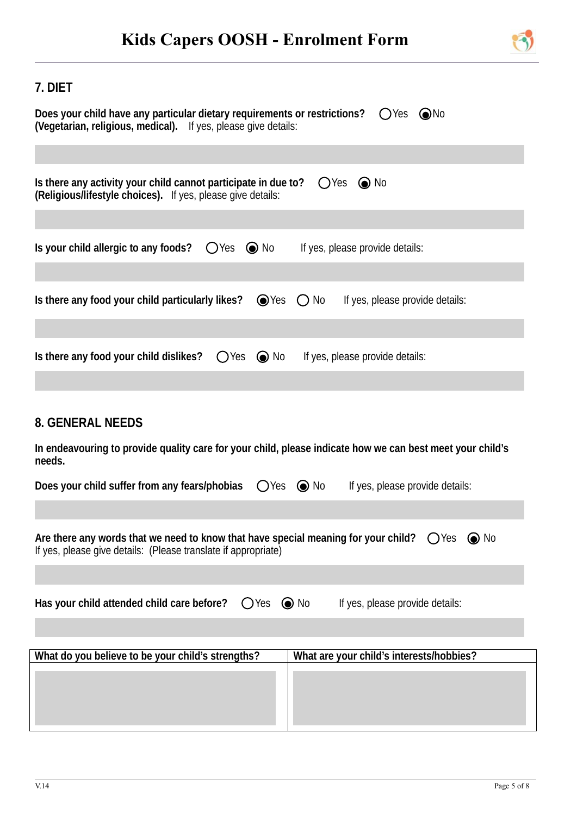

# **7. DIET**

| Does your child have any particular dietary requirements or restrictions?<br>$OYes$ $ONo$<br>(Vegetarian, religious, medical). If yes, please give details:                       |
|-----------------------------------------------------------------------------------------------------------------------------------------------------------------------------------|
|                                                                                                                                                                                   |
| Is there any activity your child cannot participate in due to?<br>$OYes$ $\odot$ No<br><b>(Religious/lifestyle choices).</b> If yes, please give details:                         |
| Is your child allergic to any foods?<br>If yes, please provide details:<br>OYes<br>$\odot$ No                                                                                     |
| Is there any food your child particularly likes?<br>$\odot$ Yes<br>$\bigcap$ No<br>If yes, please provide details:                                                                |
| $\odot$ No<br>Is there any food your child dislikes?<br>$O$ Yes<br>If yes, please provide details:                                                                                |
| <b>8. GENERAL NEEDS</b><br>In endeavouring to provide quality care for your child, please indicate how we can best meet your child's<br>needs.                                    |
| Does your child suffer from any fears/phobias<br>$O$ Yes<br>$\odot$ No<br>If yes, please provide details:                                                                         |
| Are there any words that we need to know that have special meaning for your child? $\bigcirc$ Yes $\bigcirc$ No<br>If yes, please give details: (Please translate if appropriate) |
| $\odot$ No<br>If yes, please provide details:<br>Has your child attended child care before?<br>$\bigcirc$ Yes                                                                     |
| What do you believe to be your child's strengths?<br>What are your child's interests/hobbies?                                                                                     |
|                                                                                                                                                                                   |
|                                                                                                                                                                                   |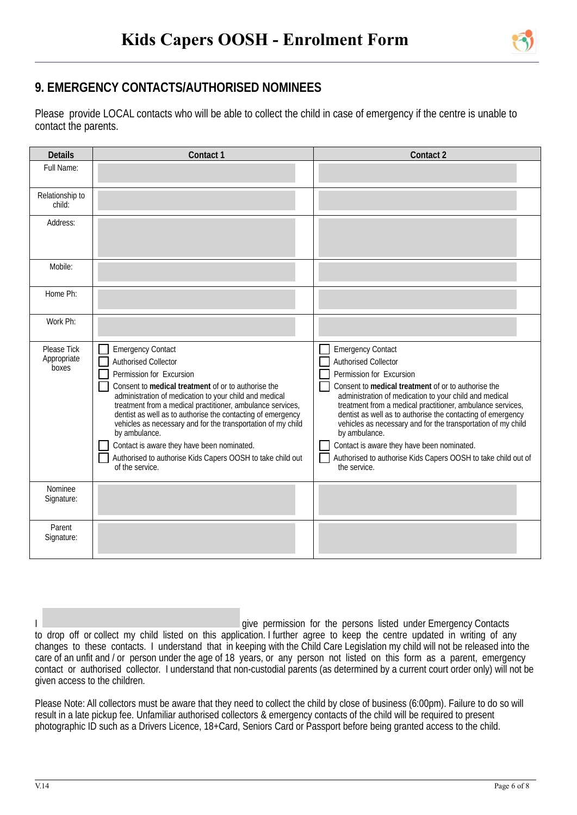

## **9. EMERGENCY CONTACTS/AUTHORISED NOMINEES**

 $\overline{a}$ 

Please provide LOCAL contacts who will be able to collect the child in case of emergency if the centre is unable to contact the parents.

| <b>Details</b>                             | Contact 1                                                                                                                                                                                                                                                                                                                                                                                                                                                                                                                                         | <b>Contact 2</b>                                                                                                                                                                                                                                                                                                                                                                                                                                                                                                                                  |
|--------------------------------------------|---------------------------------------------------------------------------------------------------------------------------------------------------------------------------------------------------------------------------------------------------------------------------------------------------------------------------------------------------------------------------------------------------------------------------------------------------------------------------------------------------------------------------------------------------|---------------------------------------------------------------------------------------------------------------------------------------------------------------------------------------------------------------------------------------------------------------------------------------------------------------------------------------------------------------------------------------------------------------------------------------------------------------------------------------------------------------------------------------------------|
| Full Name:                                 |                                                                                                                                                                                                                                                                                                                                                                                                                                                                                                                                                   |                                                                                                                                                                                                                                                                                                                                                                                                                                                                                                                                                   |
| Relationship to<br>child:                  |                                                                                                                                                                                                                                                                                                                                                                                                                                                                                                                                                   |                                                                                                                                                                                                                                                                                                                                                                                                                                                                                                                                                   |
| Address:                                   |                                                                                                                                                                                                                                                                                                                                                                                                                                                                                                                                                   |                                                                                                                                                                                                                                                                                                                                                                                                                                                                                                                                                   |
| Mobile:                                    |                                                                                                                                                                                                                                                                                                                                                                                                                                                                                                                                                   |                                                                                                                                                                                                                                                                                                                                                                                                                                                                                                                                                   |
| Home Ph:                                   |                                                                                                                                                                                                                                                                                                                                                                                                                                                                                                                                                   |                                                                                                                                                                                                                                                                                                                                                                                                                                                                                                                                                   |
| Work Ph:                                   |                                                                                                                                                                                                                                                                                                                                                                                                                                                                                                                                                   |                                                                                                                                                                                                                                                                                                                                                                                                                                                                                                                                                   |
| <b>Please Tick</b><br>Appropriate<br>boxes | <b>Emergency Contact</b><br><b>Authorised Collector</b><br>Permission for Excursion<br>Consent to medical treatment of or to authorise the<br>administration of medication to your child and medical<br>treatment from a medical practitioner, ambulance services,<br>dentist as well as to authorise the contacting of emergency<br>vehicles as necessary and for the transportation of my child<br>by ambulance.<br>Contact is aware they have been nominated.<br>Authorised to authorise Kids Capers OOSH to take child out<br>of the service. | <b>Emergency Contact</b><br><b>Authorised Collector</b><br>Permission for Excursion<br>Consent to medical treatment of or to authorise the<br>administration of medication to your child and medical<br>treatment from a medical practitioner, ambulance services,<br>dentist as well as to authorise the contacting of emergency<br>vehicles as necessary and for the transportation of my child<br>by ambulance.<br>Contact is aware they have been nominated.<br>Authorised to authorise Kids Capers OOSH to take child out of<br>the service. |
| Nominee<br>Signature:                      |                                                                                                                                                                                                                                                                                                                                                                                                                                                                                                                                                   |                                                                                                                                                                                                                                                                                                                                                                                                                                                                                                                                                   |
| Parent<br>Signature:                       |                                                                                                                                                                                                                                                                                                                                                                                                                                                                                                                                                   |                                                                                                                                                                                                                                                                                                                                                                                                                                                                                                                                                   |

| give permission for the persons listed under Emergency Contacts                                                                    |
|------------------------------------------------------------------------------------------------------------------------------------|
| to drop off or collect my child listed on this application. I further agree to keep the centre updated in writing of any           |
| changes to these contacts. I understand that in keeping with the Child Care Legislation my child will not be released into the     |
| care of an unfit and / or person under the age of 18 years, or any person not listed on this form as a parent, emergency           |
| contact or authorised collector. I understand that non-custodial parents (as determined by a current court order only) will not be |
| given access to the children.                                                                                                      |

Please Note: All collectors must be aware that they need to collect the child by close of business (6:00pm). Failure to do so will result in a late pickup fee. Unfamiliar authorised collectors & emergency contacts of the child will be required to present photographic ID such as a Drivers Licence, 18+Card, Seniors Card or Passport before being granted access to the child.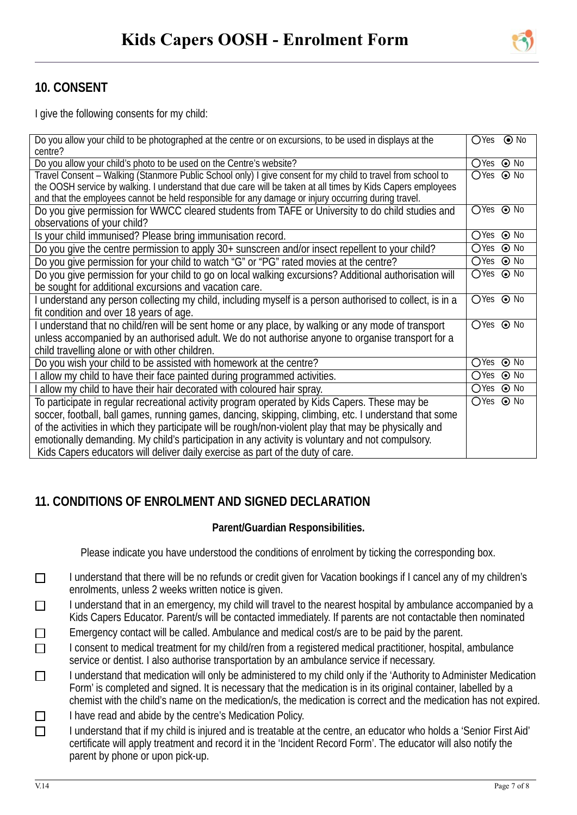## **10. CONSENT**

 $\overline{a}$ 

I give the following consents for my child:

| Do you allow your child to be photographed at the centre or on excursions, to be used in displays at the    |                   | $OYes$ $\odot$ No |
|-------------------------------------------------------------------------------------------------------------|-------------------|-------------------|
| centre?                                                                                                     |                   |                   |
| Do you allow your child's photo to be used on the Centre's website?                                         | ○Yes ⊙ No         |                   |
| Travel Consent – Walking (Stanmore Public School only) I give consent for my child to travel from school to | ○Yes ⊙ No         |                   |
| the OOSH service by walking. I understand that due care will be taken at all times by Kids Capers employees |                   |                   |
| and that the employees cannot be held responsible for any damage or injury occurring during travel.         |                   |                   |
| Do you give permission for WWCC cleared students from TAFE or University to do child studies and            | ○Yes ⊙ No         |                   |
| observations of your child?                                                                                 |                   |                   |
| Is your child immunised? Please bring immunisation record.                                                  | ○Yes ⊙ No         |                   |
| Do you give the centre permission to apply 30+ sunscreen and/or insect repellent to your child?             | $OYes$ $\odot$ No |                   |
| Do you give permission for your child to watch "G" or "PG" rated movies at the centre?                      | ○Yes ⊙ No         |                   |
| Do you give permission for your child to go on local walking excursions? Additional authorisation will      | ○Yes ⊙ No         |                   |
| be sought for additional excursions and vacation care.                                                      |                   |                   |
| I understand any person collecting my child, including myself is a person authorised to collect, is in a    | ○Yes ⊙ No         |                   |
| fit condition and over 18 years of age.                                                                     |                   |                   |
| I understand that no child/ren will be sent home or any place, by walking or any mode of transport          | ○Yes ⊙ No         |                   |
| unless accompanied by an authorised adult. We do not authorise anyone to organise transport for a           |                   |                   |
| child travelling alone or with other children.                                                              |                   |                   |
| Do you wish your child to be assisted with homework at the centre?                                          | ○Yes ⊙ No         |                   |
| I allow my child to have their face painted during programmed activities.                                   | ○Yes ⊙ No         |                   |
| allow my child to have their hair decorated with coloured hair spray.                                       | ○Yes ⊙ No         |                   |
| To participate in regular recreational activity program operated by Kids Capers. These may be               | $OYes$ $\odot$ No |                   |
| soccer, football, ball games, running games, dancing, skipping, climbing, etc. I understand that some       |                   |                   |
| of the activities in which they participate will be rough/non-violent play that may be physically and       |                   |                   |
| emotionally demanding. My child's participation in any activity is voluntary and not compulsory.            |                   |                   |
| Kids Capers educators will deliver daily exercise as part of the duty of care.                              |                   |                   |

## **11. CONDITIONS OF ENROLMENT AND SIGNED DECLARATION**

#### **Parent/Guardian Responsibilities.**

Please indicate you have understood the conditions of enrolment by ticking the corresponding box.

- I understand that there will be no refunds or credit given for Vacation bookings if I cancel any of my children's  $\Box$ enrolments, unless 2 weeks written notice is given.
- I understand that in an emergency, my child will travel to the nearest hospital by ambulance accompanied by a  $\Box$ Kids Capers Educator. Parent/s will be contacted immediately. If parents are not contactable then nominated
- Emergency contact will be called. Ambulance and medical cost/s are to be paid by the parent.  $\Box$
- I consent to medical treatment for my child/ren from a registered medical practitioner, hospital, ambulance  $\Box$ service or dentist. I also authorise transportation by an ambulance service if necessary.
- I understand that medication will only be administered to my child only if the 'Authority to Administer Medication  $\Box$ Form' is completed and signed. It is necessary that the medication is in its original container, labelled by a chemist with the child's name on the medication/s, the medication is correct and the medication has not expired.
- I have read and abide by the centre's Medication Policy.  $\Box$
- I understand that if my child is injured and is treatable at the centre, an educator who holds a 'Senior First Aid'  $\Box$ certificate will apply treatment and record it in the 'Incident Record Form'. The educator will also notify the parent by phone or upon pick-up.